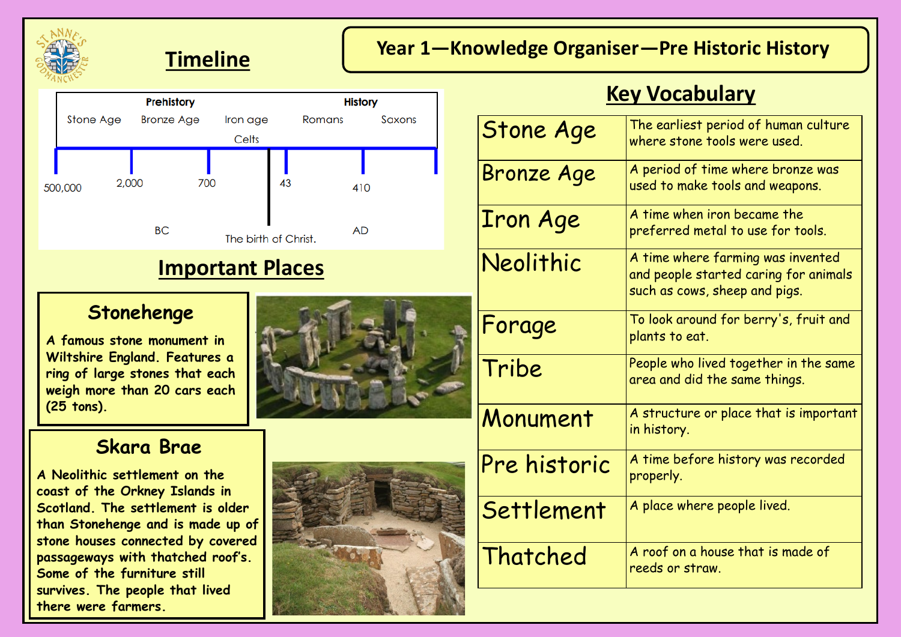





#### **Stonehenge**

**A famous stone monument in Wiltshire England. Features a ring of large stones that each weigh more than 20 cars each (25 tons).**

## **Skara Brae**

**A Neolithic settlement on the coast of the Orkney Islands in Scotland. The settlement is older than Stonehenge and is made up of stone houses connected by covered passageways with thatched roof's. Some of the furniture still survives. The people that lived there were farmers.** 





# **Key Vocabulary**

| <b>Stone Age</b>  | The earliest period of human culture<br>where stone tools were used.                                        |
|-------------------|-------------------------------------------------------------------------------------------------------------|
| <b>Bronze Age</b> | A period of time where bronze was<br>used to make tools and weapons.                                        |
| <b>Iron Age</b>   | A time when iron became the<br>preferred metal to use for tools.                                            |
| Neolithic         | A time where farming was invented<br>and people started caring for animals<br>such as cows, sheep and pigs. |
| Forage            | To look around for berry's, fruit and<br>plants to eat.                                                     |
| Tribe             | People who lived together in the same<br>area and did the same things.                                      |
| Monument          | A structure or place that is important<br>in history.                                                       |
| Pre historic      | A time before history was recorded<br>properly.                                                             |
| Settlement        | A place where people lived.                                                                                 |
| Thatched          | A roof on a house that is made of<br>reeds or straw.                                                        |